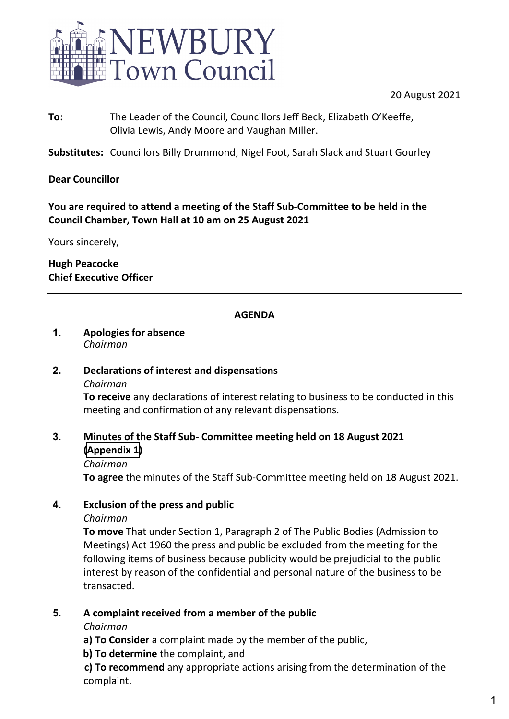

20 August 2021

**To:** The Leader of the Council, Councillors Jeff Beck, Elizabeth O'Keeffe, Olivia Lewis, Andy Moore and Vaughan Miller.

**Substitutes:** Councillors Billy Drummond, Nigel Foot, Sarah Slack and Stuart Gourley

# **Dear Councillor**

# **You are required to attend a meeting of the Staff Sub-Committee to be held in the Council Chamber, Town Hall at 10 am on 25 August 2021**

Yours sincerely,

**Hugh Peacocke Chief Executive Officer**

# **AGENDA**

#### **1. Apologies for absence** *Chairman*

# **2. Declarations of interest and dispensations**

#### *Chairman*

**To receive** any declarations of interest relating to business to be conducted in this meeting and confirmation of any relevant dispensations.

# **3. Minutes of the Staff Sub- Committee meeting held on 18 August 2021 ([Appendix 1\)](#page-1-0)**

*Chairman*

**To agree** the minutes of the Staff Sub-Committee meeting held on 18 August 2021.

# **4. Exclusion of the press and public**

### *Chairman*

**To move** That under Section 1, Paragraph 2 of The Public Bodies (Admission to Meetings) Act 1960 the press and public be excluded from the meeting for the following items of business because publicity would be prejudicial to the public interest by reason of the confidential and personal nature of the business to be transacted.

### **5. A complaint received from a member of the public**

*Chairman*

- **a) To Consider** a complaint made by the member of the public,
- **b) To determine** the complaint, and

**c) To recommend** any appropriate actions arising from the determination of the complaint.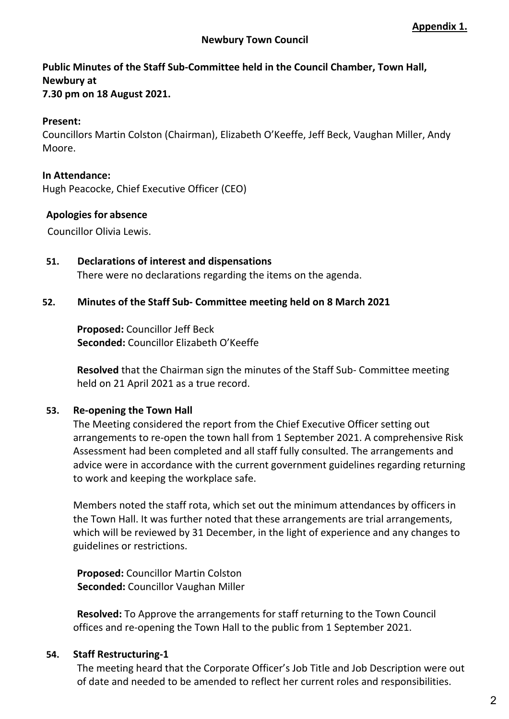# <span id="page-1-0"></span>**Public Minutes of the Staff Sub-Committee held in the Council Chamber, Town Hall, Newbury at**

**7.30 pm on 18 August 2021.** 

# **Present:**

Councillors Martin Colston (Chairman), Elizabeth O'Keeffe, Jeff Beck, Vaughan Miller, Andy Moore.

### **In Attendance:**

Hugh Peacocke, Chief Executive Officer (CEO)

# **Apologies for absence**

Councillor Olivia Lewis.

**51. Declarations of interest and dispensations** There were no declarations regarding the items on the agenda.

# **52. Minutes of the Staff Sub- Committee meeting held on 8 March 2021**

**Proposed:** Councillor Jeff Beck **Seconded:** Councillor Elizabeth O'Keeffe

**Resolved** that the Chairman sign the minutes of the Staff Sub- Committee meeting held on 21 April 2021 as a true record.

### **53. Re-opening the Town Hall**

The Meeting considered the report from the Chief Executive Officer setting out arrangements to re-open the town hall from 1 September 2021. A comprehensive Risk Assessment had been completed and all staff fully consulted. The arrangements and advice were in accordance with the current government guidelines regarding returning to work and keeping the workplace safe.

Members noted the staff rota, which set out the minimum attendances by officers in the Town Hall. It was further noted that these arrangements are trial arrangements, which will be reviewed by 31 December, in the light of experience and any changes to guidelines or restrictions.

**Proposed:** Councillor Martin Colston **Seconded:** Councillor Vaughan Miller

**Resolved:** To Approve the arrangements for staff returning to the Town Council offices and re-opening the Town Hall to the public from 1 September 2021.

### **54. Staff Restructuring-1**

The meeting heard that the Corporate Officer's Job Title and Job Description were out of date and needed to be amended to reflect her current roles and responsibilities.